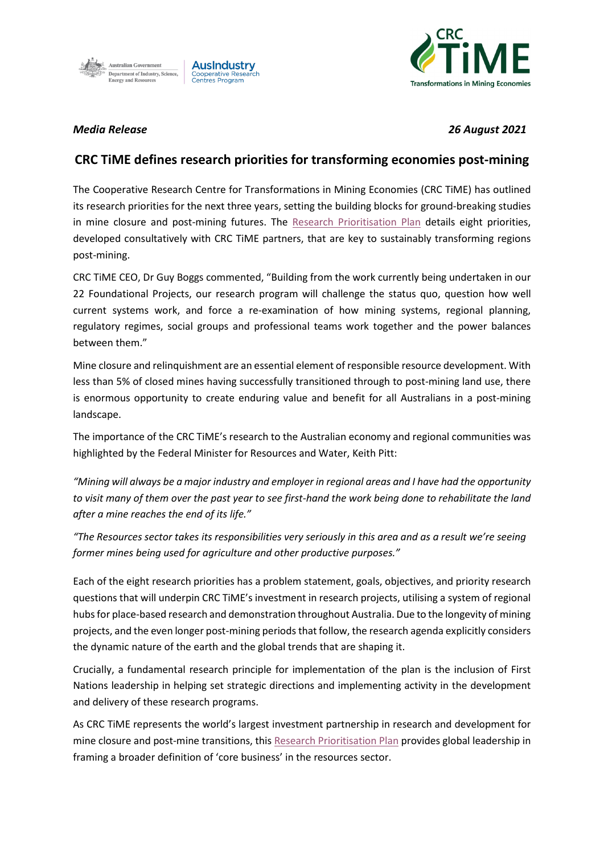



*Media Release 26 August 2021*

## **CRC TiME defines research priorities for transforming economies post-mining**

The Cooperative Research Centre for Transformations in Mining Economies (CRC TiME) has outlined its research priorities for the next three years, setting the building blocks for ground-breaking studies in mine closure and post-mining futures. The [Research Prioritisation Plan](https://crctime.com.au/macwp/wp-content/uploads/2021/09/FINAL_15-Sep-21_CRCTiME_ResearchPlan-2021-2024-002.pdf) details eight priorities, developed consultatively with CRC TiME partners, that are key to sustainably transforming regions post-mining.

CRC TiME CEO, Dr Guy Boggs commented, "Building from the work currently being undertaken in our 22 Foundational Projects, our research program will challenge the status quo, question how well current systems work, and force a re-examination of how mining systems, regional planning, regulatory regimes, social groups and professional teams work together and the power balances between them."

Mine closure and relinquishment are an essential element of responsible resource development. With less than 5% of closed mines having successfully transitioned through to post-mining land use, there is enormous opportunity to create enduring value and benefit for all Australians in a post-mining landscape.

The importance of the CRC TiME's research to the Australian economy and regional communities was highlighted by the Federal Minister for Resources and Water, Keith Pitt:

*"Mining will always be a major industry and employer in regional areas and I have had the opportunity to visit many of them over the past year to see first-hand the work being done to rehabilitate the land after a mine reaches the end of its life."*

*"The Resources sector takes its responsibilities very seriously in this area and as a result we're seeing former mines being used for agriculture and other productive purposes."* 

Each of the eight research priorities has a problem statement, goals, objectives, and priority research questions that will underpin CRC TiME's investment in research projects, utilising a system of regional hubs for place-based research and demonstration throughout Australia. Due to the longevity of mining projects, and the even longer post-mining periods that follow, the research agenda explicitly considers the dynamic nature of the earth and the global trends that are shaping it.

Crucially, a fundamental research principle for implementation of the plan is the inclusion of First Nations leadership in helping set strategic directions and implementing activity in the development and delivery of these research programs.

As CRC TiME represents the world's largest investment partnership in research and development for mine closure and post-mine transitions, this [Research Prioritisation Plan](https://crctime.com.au/macwp/wp-content/uploads/2021/09/FINAL_15-Sep-21_CRCTiME_ResearchPlan-2021-2024-002.pdf) provides global leadership in framing a broader definition of 'core business' in the resources sector.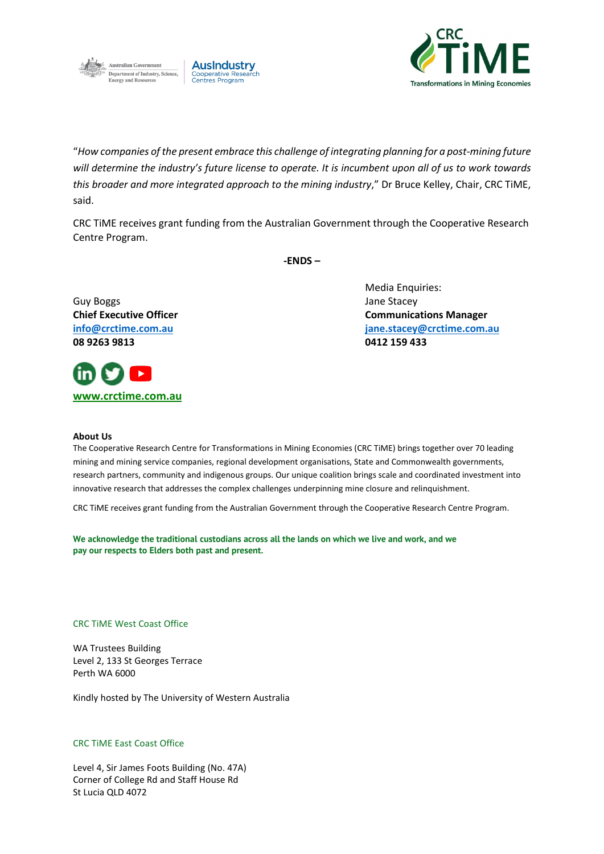



"*How companies of the present embrace this challenge of integrating planning for a post-mining future will determine the industry's future license to operate. It is incumbent upon all of us to work towards this broader and more integrated approach to the mining industry*," Dr Bruce Kelley, Chair, CRC TiME, said.

CRC TiME receives grant funding from the Australian Government through the Cooperative Research Centre Program.

**-ENDS –**

Guy Boggs Jane Stacey **08 9263 9813 0412 159 433**



Media Enquiries: **Chief Executive Officer Communications Manager [info@crctime.com.au](mailto:info@crctime.com.au) [jane.stacey@crctime.com.au](mailto:jane.stacey@crctime.com.au)**

## **About Us**

The Cooperative Research Centre for Transformations in Mining Economies (CRC TiME) brings together over 70 leading mining and mining service companies, regional development organisations, State and Commonwealth governments, research partners, community and indigenous groups. Our unique coalition brings scale and coordinated investment into innovative research that addresses the complex challenges underpinning mine closure and relinquishment.

CRC TiME receives grant funding from the Australian Government through the Cooperative Research Centre Program.

**We acknowledge the traditional custodians across all the lands on which we live and work, and we pay our respects to Elders both past and present.**

## CRC TiME West Coast Office

WA Trustees Building Level 2, 133 St Georges Terrace Perth WA 6000

Kindly hosted by The University of Western Australia

## CRC TiME East Coast Office

Level 4, Sir James Foots Building (No. 47A) Corner of College Rd and Staff House Rd St Lucia QLD 4072